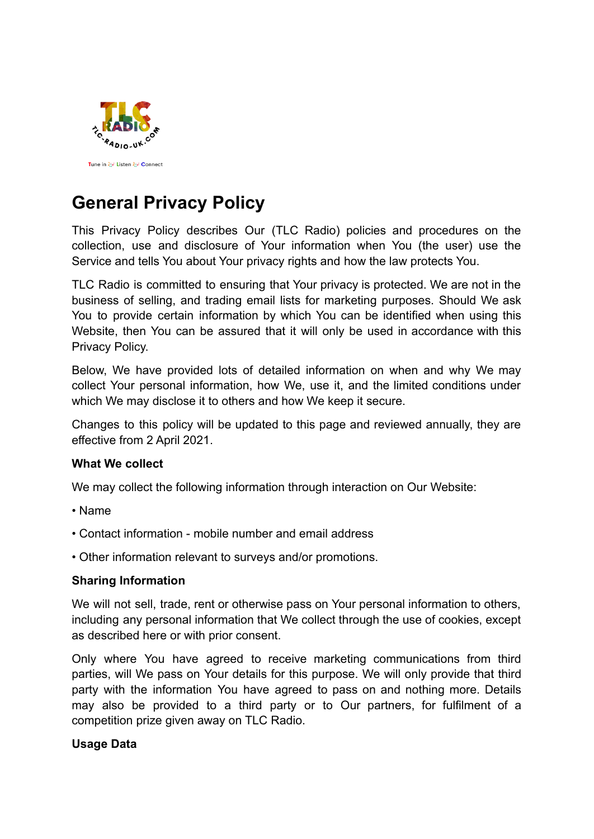

# **General Privacy Policy**

This Privacy Policy describes Our (TLC Radio) policies and procedures on the collection, use and disclosure of Your information when You (the user) use the Service and tells You about Your privacy rights and how the law protects You.

TLC Radio is committed to ensuring that Your privacy is protected. We are not in the business of selling, and trading email lists for marketing purposes. Should We ask You to provide certain information by which You can be identified when using this Website, then You can be assured that it will only be used in accordance with this Privacy Policy.

Below, We have provided lots of detailed information on when and why We may collect Your personal information, how We, use it, and the limited conditions under which We may disclose it to others and how We keep it secure.

Changes to this policy will be updated to this page and reviewed annually, they are effective from 2 April 2021.

# **What We collect**

We may collect the following information through interaction on Our Website:

- Name
- Contact information mobile number and email address
- Other information relevant to surveys and/or promotions.

# **Sharing Information**

We will not sell, trade, rent or otherwise pass on Your personal information to others, including any personal information that We collect through the use of cookies, except as described here or with prior consent.

Only where You have agreed to receive marketing communications from third parties, will We pass on Your details for this purpose. We will only provide that third party with the information You have agreed to pass on and nothing more. Details may also be provided to a third party or to Our partners, for fulfilment of a competition prize given away on TLC Radio.

#### **Usage Data**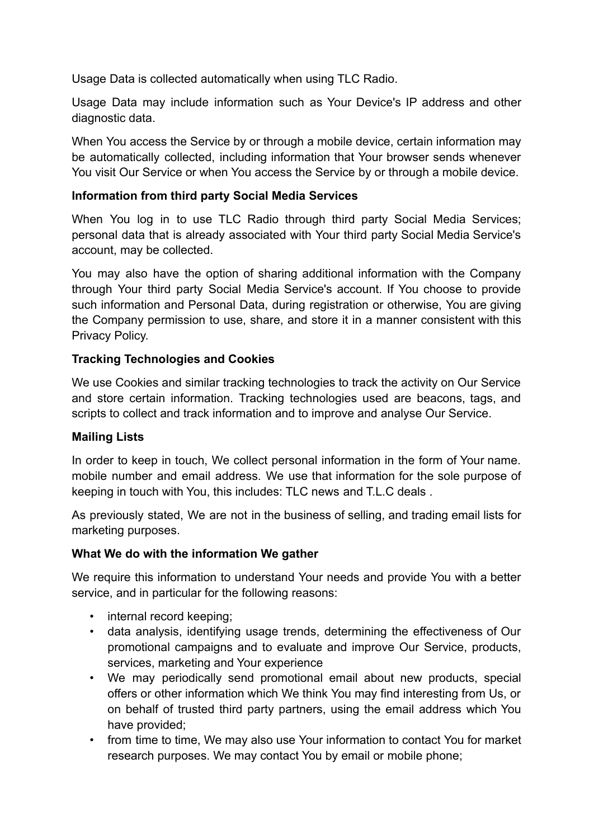Usage Data is collected automatically when using TLC Radio.

Usage Data may include information such as Your Device's IP address and other diagnostic data.

When You access the Service by or through a mobile device, certain information may be automatically collected, including information that Your browser sends whenever You visit Our Service or when You access the Service by or through a mobile device.

# **Information from third party Social Media Services**

When You log in to use TLC Radio through third party Social Media Services; personal data that is already associated with Your third party Social Media Service's account, may be collected.

You may also have the option of sharing additional information with the Company through Your third party Social Media Service's account. If You choose to provide such information and Personal Data, during registration or otherwise, You are giving the Company permission to use, share, and store it in a manner consistent with this Privacy Policy.

# **Tracking Technologies and Cookies**

We use Cookies and similar tracking technologies to track the activity on Our Service and store certain information. Tracking technologies used are beacons, tags, and scripts to collect and track information and to improve and analyse Our Service.

#### **Mailing Lists**

In order to keep in touch, We collect personal information in the form of Your name. mobile number and email address. We use that information for the sole purpose of keeping in touch with You, this includes: TLC news and T.L.C deals .

As previously stated, We are not in the business of selling, and trading email lists for marketing purposes.

#### **What We do with the information We gather**

We require this information to understand Your needs and provide You with a better service, and in particular for the following reasons:

- internal record keeping;
- data analysis, identifying usage trends, determining the effectiveness of Our promotional campaigns and to evaluate and improve Our Service, products, services, marketing and Your experience
- We may periodically send promotional email about new products, special offers or other information which We think You may find interesting from Us, or on behalf of trusted third party partners, using the email address which You have provided;
- from time to time, We may also use Your information to contact You for market research purposes. We may contact You by email or mobile phone;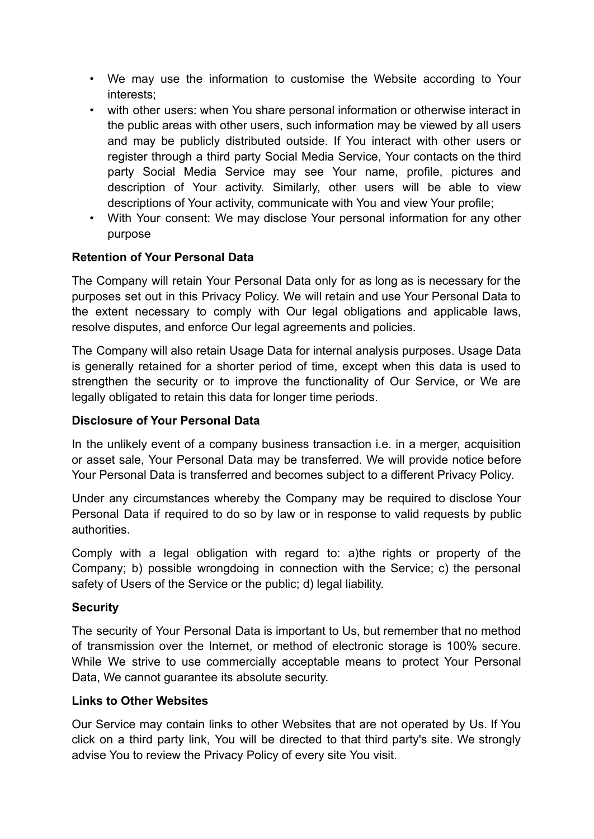- We may use the information to customise the Website according to Your interests;
- with other users: when You share personal information or otherwise interact in the public areas with other users, such information may be viewed by all users and may be publicly distributed outside. If You interact with other users or register through a third party Social Media Service, Your contacts on the third party Social Media Service may see Your name, profile, pictures and description of Your activity. Similarly, other users will be able to view descriptions of Your activity, communicate with You and view Your profile;
- With Your consent: We may disclose Your personal information for any other purpose

# **Retention of Your Personal Data**

The Company will retain Your Personal Data only for as long as is necessary for the purposes set out in this Privacy Policy. We will retain and use Your Personal Data to the extent necessary to comply with Our legal obligations and applicable laws, resolve disputes, and enforce Our legal agreements and policies.

The Company will also retain Usage Data for internal analysis purposes. Usage Data is generally retained for a shorter period of time, except when this data is used to strengthen the security or to improve the functionality of Our Service, or We are legally obligated to retain this data for longer time periods.

## **Disclosure of Your Personal Data**

In the unlikely event of a company business transaction i.e. in a merger, acquisition or asset sale, Your Personal Data may be transferred. We will provide notice before Your Personal Data is transferred and becomes subject to a different Privacy Policy.

Under any circumstances whereby the Company may be required to disclose Your Personal Data if required to do so by law or in response to valid requests by public authorities.

Comply with a legal obligation with regard to: a)the rights or property of the Company; b) possible wrongdoing in connection with the Service; c) the personal safety of Users of the Service or the public; d) legal liability.

#### **Security**

The security of Your Personal Data is important to Us, but remember that no method of transmission over the Internet, or method of electronic storage is 100% secure. While We strive to use commercially acceptable means to protect Your Personal Data, We cannot guarantee its absolute security.

#### **Links to Other Websites**

Our Service may contain links to other Websites that are not operated by Us. If You click on a third party link, You will be directed to that third party's site. We strongly advise You to review the Privacy Policy of every site You visit.